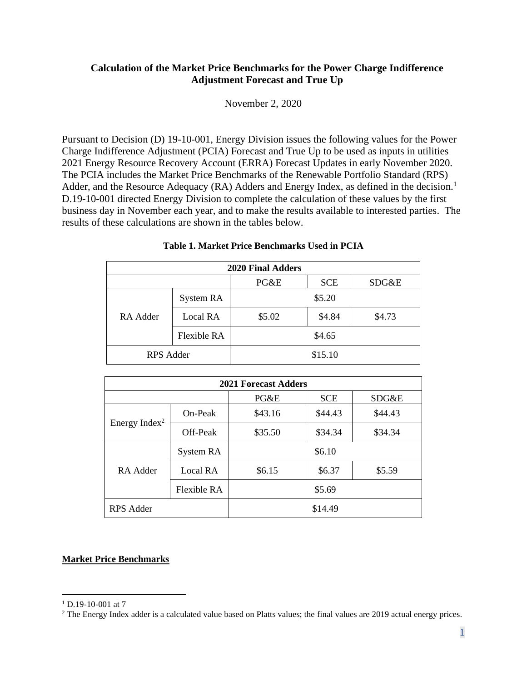#### **Calculation of the Market Price Benchmarks for the Power Charge Indifference Adjustment Forecast and True Up**

November 2, 2020

Pursuant to Decision (D) 19-10-001, Energy Division issues the following values for the Power Charge Indifference Adjustment (PCIA) Forecast and True Up to be used as inputs in utilities 2021 Energy Resource Recovery Account (ERRA) Forecast Updates in early November 2020. The PCIA includes the Market Price Benchmarks of the Renewable Portfolio Standard (RPS) Adder, and the Resource Adequacy (RA) Adders and Energy Index, as defined in the decision.<sup>1</sup> D.19-10-001 directed Energy Division to complete the calculation of these values by the first business day in November each year, and to make the results available to interested parties. The results of these calculations are shown in the tables below.

| <b>2020 Final Adders</b> |                    |         |            |        |  |  |  |
|--------------------------|--------------------|---------|------------|--------|--|--|--|
|                          |                    | PG&E    | <b>SCE</b> | SDG&E  |  |  |  |
| RA Adder                 | System RA          |         | \$5.20     |        |  |  |  |
|                          | Local RA           | \$5.02  | \$4.84     | \$4.73 |  |  |  |
|                          | <b>Flexible RA</b> | \$4.65  |            |        |  |  |  |
| RPS Adder                |                    | \$15.10 |            |        |  |  |  |

| Table 1. Market Price Benchmarks Used in PCIA |  |
|-----------------------------------------------|--|
|-----------------------------------------------|--|

| <b>2021 Forecast Adders</b> |             |         |            |         |  |  |
|-----------------------------|-------------|---------|------------|---------|--|--|
|                             |             | PG&E    | <b>SCE</b> | SDG&E   |  |  |
| Energy Index <sup>2</sup>   | $On-Peak$   | \$43.16 | \$44.43    | \$44.43 |  |  |
|                             | Off-Peak    | \$35.50 | \$34.34    | \$34.34 |  |  |
| RA Adder                    | System RA   | \$6.10  |            |         |  |  |
|                             | Local RA    | \$6.15  | \$6.37     | \$5.59  |  |  |
|                             | Flexible RA | \$5.69  |            |         |  |  |
| <b>RPS</b> Adder            |             | \$14.49 |            |         |  |  |

#### **Market Price Benchmarks**

 $1$  D.19-10-001 at 7

<sup>&</sup>lt;sup>2</sup> The Energy Index adder is a calculated value based on Platts values; the final values are 2019 actual energy prices.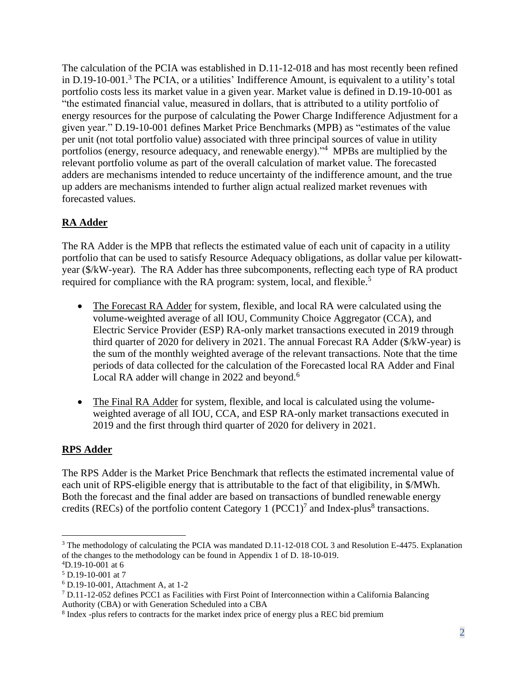The calculation of the PCIA was established in D.11-12-018 and has most recently been refined in D.19-10-001.<sup>3</sup> The PCIA, or a utilities' Indifference Amount, is equivalent to a utility's total portfolio costs less its market value in a given year. Market value is defined in D.19-10-001 as "the estimated financial value, measured in dollars, that is attributed to a utility portfolio of energy resources for the purpose of calculating the Power Charge Indifference Adjustment for a given year." D.19-10-001 defines Market Price Benchmarks (MPB) as "estimates of the value per unit (not total portfolio value) associated with three principal sources of value in utility portfolios (energy, resource adequacy, and renewable energy)."<sup>4</sup> MPBs are multiplied by the relevant portfolio volume as part of the overall calculation of market value. The forecasted adders are mechanisms intended to reduce uncertainty of the indifference amount, and the true up adders are mechanisms intended to further align actual realized market revenues with forecasted values.

## **RA Adder**

The RA Adder is the MPB that reflects the estimated value of each unit of capacity in a utility portfolio that can be used to satisfy Resource Adequacy obligations, as dollar value per kilowattyear (\$/kW-year). The RA Adder has three subcomponents, reflecting each type of RA product required for compliance with the RA program: system, local, and flexible.<sup>5</sup>

- The Forecast RA Adder for system, flexible, and local RA were calculated using the volume-weighted average of all IOU, Community Choice Aggregator (CCA), and Electric Service Provider (ESP) RA-only market transactions executed in 2019 through third quarter of 2020 for delivery in 2021. The annual Forecast RA Adder (\$/kW-year) is the sum of the monthly weighted average of the relevant transactions. Note that the time periods of data collected for the calculation of the Forecasted local RA Adder and Final Local RA adder will change in 2022 and beyond.<sup>6</sup>
- The Final RA Adder for system, flexible, and local is calculated using the volumeweighted average of all IOU, CCA, and ESP RA-only market transactions executed in 2019 and the first through third quarter of 2020 for delivery in 2021.

## **RPS Adder**

The RPS Adder is the Market Price Benchmark that reflects the estimated incremental value of each unit of RPS-eligible energy that is attributable to the fact of that eligibility, in \$/MWh. Both the forecast and the final adder are based on transactions of bundled renewable energy credits (RECs) of the portfolio content Category 1 (PCC1)<sup>7</sup> and Index-plus<sup>8</sup> transactions.

<sup>3</sup> The methodology of calculating the PCIA was mandated D.11-12-018 COL 3 and Resolution E-4475. Explanation of the changes to the methodology can be found in Appendix 1 of D. 18-10-019.

<sup>4</sup>D.19-10-001 at 6

<sup>5</sup> D.19-10-001 at 7

<sup>6</sup> D.19-10-001, Attachment A, at 1-2

<sup>7</sup> D.11-12-052 defines PCC1 as Facilities with First Point of Interconnection within a California Balancing Authority (CBA) or with Generation Scheduled into a CBA

<sup>&</sup>lt;sup>8</sup> Index -plus refers to contracts for the market index price of energy plus a REC bid premium